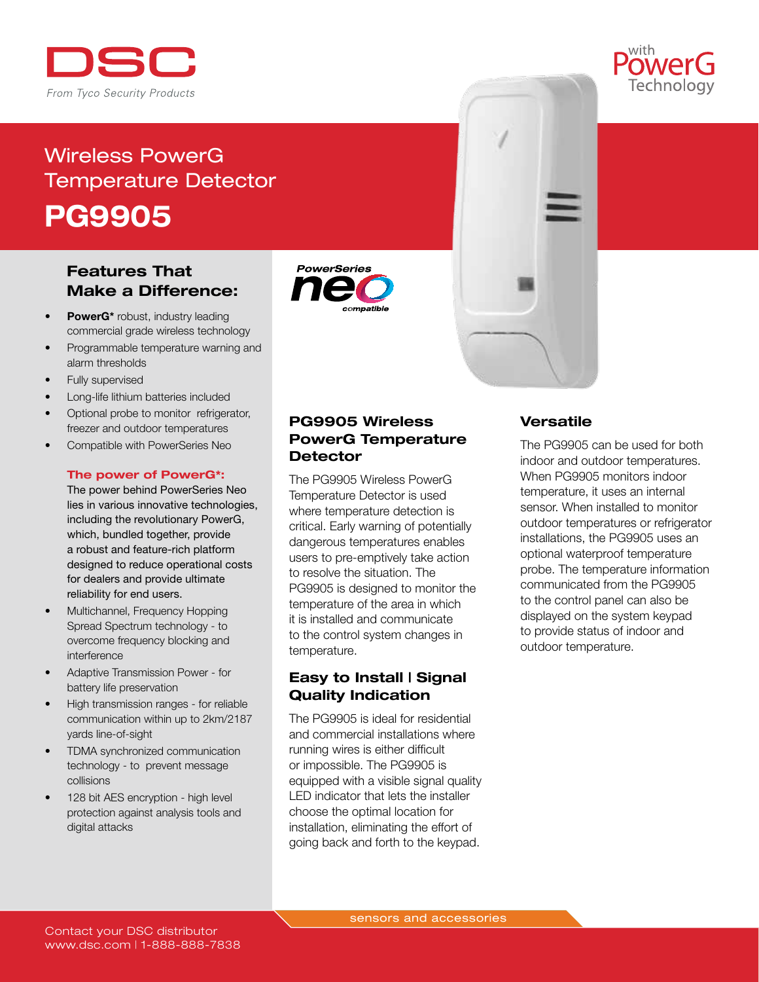

# Wireless PowerG Temperature Detector PG9905

## Features That Make a Difference:

- PowerG\* robust, industry leading commercial grade wireless technology
- Programmable temperature warning and alarm thresholds
- Fully supervised
- Long-life lithium batteries included
- Optional probe to monitor refrigerator, freezer and outdoor temperatures
- Compatible with PowerSeries Neo

#### The power of PowerG\*:

The power behind PowerSeries Neo lies in various innovative technologies, including the revolutionary PowerG, which, bundled together, provide a robust and feature-rich platform designed to reduce operational costs for dealers and provide ultimate reliability for end users.

- Multichannel, Frequency Hopping Spread Spectrum technology - to overcome frequency blocking and interference
- Adaptive Transmission Power for battery life preservation
- High transmission ranges for reliable communication within up to 2km/2187 yards line-of-sight
- TDMA synchronized communication technology - to prevent message collisions
- 128 bit AES encryption high level protection against analysis tools and digital attacks





#### PG9905 Wireless PowerG Temperature **Detector**

The PG9905 Wireless PowerG Temperature Detector is used where temperature detection is critical. Early warning of potentially dangerous temperatures enables users to pre-emptively take action to resolve the situation. The PG9905 is designed to monitor the temperature of the area in which it is installed and communicate to the control system changes in temperature.

#### Easy to Install | Signal Quality Indication

The PG9905 is ideal for residential and commercial installations where running wires is either difficult or impossible. The PG9905 is equipped with a visible signal quality LED indicator that lets the installer choose the optimal location for installation, eliminating the effort of going back and forth to the keypad.

#### **Versatile**

The PG9905 can be used for both indoor and outdoor temperatures. When PG9905 monitors indoor temperature, it uses an internal sensor. When installed to monitor outdoor temperatures or refrigerator installations, the PG9905 uses an optional waterproof temperature probe. The temperature information communicated from the PG9905 to the control panel can also be displayed on the system keypad to provide status of indoor and outdoor temperature.